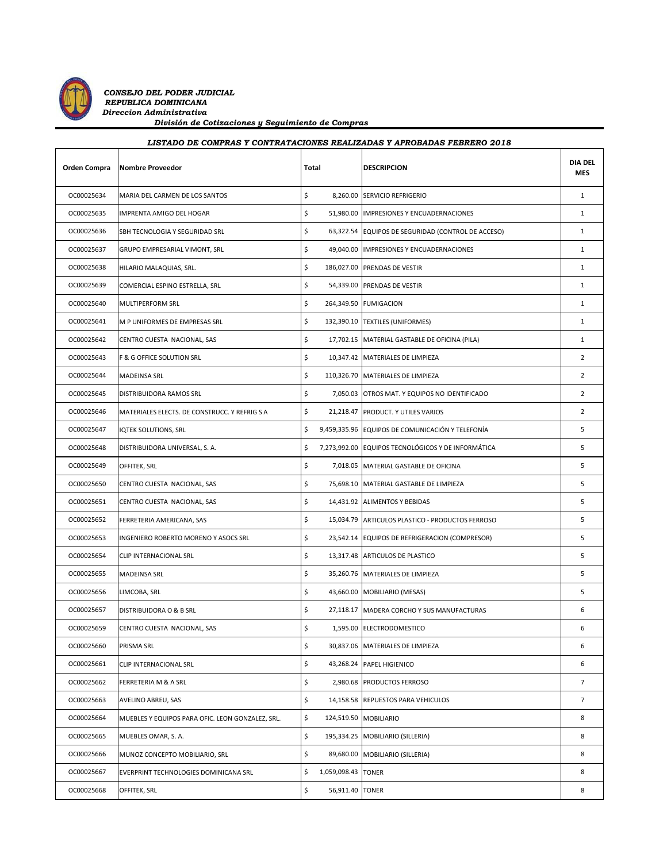

*CONSEJO DEL PODER JUDICIAL REPUBLICA DOMINICANA Direccion Administrativa División de Cotizaciones y Seguimiento de Compras*

| <b>Orden Compra</b> | Nombre Proveedor                                 | Total |                    | <b>DESCRIPCION</b>                                 | <b>DIA DEL</b><br><b>MES</b> |
|---------------------|--------------------------------------------------|-------|--------------------|----------------------------------------------------|------------------------------|
| OC00025634          | MARIA DEL CARMEN DE LOS SANTOS                   | \$    |                    | 8,260.00 SERVICIO REFRIGERIO                       | 1                            |
| OC00025635          | IMPRENTA AMIGO DEL HOGAR                         | \$    |                    | 51,980.00 IMPRESIONES Y ENCUADERNACIONES           | 1                            |
| OC00025636          | SBH TECNOLOGIA Y SEGURIDAD SRL                   | \$    |                    | 63,322.54 EQUIPOS DE SEGURIDAD (CONTROL DE ACCESO) | 1                            |
| OC00025637          | GRUPO EMPRESARIAL VIMONT, SRL                    | \$    |                    | 49,040.00 IMPRESIONES Y ENCUADERNACIONES           | $\mathbf{1}$                 |
| OC00025638          | HILARIO MALAQUIAS, SRL.                          | \$    |                    | 186,027.00 PRENDAS DE VESTIR                       | 1                            |
| OC00025639          | COMERCIAL ESPINO ESTRELLA, SRL                   | \$    |                    | 54,339.00 PRENDAS DE VESTIR                        | $\mathbf{1}$                 |
| OC00025640          | <b>MULTIPERFORM SRL</b>                          | \$    |                    | 264,349.50 FUMIGACION                              | 1                            |
| OC00025641          | M P UNIFORMES DE EMPRESAS SRL                    | \$    |                    | 132,390.10 TEXTILES (UNIFORMES)                    | 1                            |
| OC00025642          | CENTRO CUESTA NACIONAL, SAS                      | \$    |                    | 17,702.15 MATERIAL GASTABLE DE OFICINA (PILA)      | $\mathbf{1}$                 |
| OC00025643          | F & G OFFICE SOLUTION SRL                        | \$    |                    | 10,347.42 MATERIALES DE LIMPIEZA                   | $\overline{2}$               |
| OC00025644          | <b>MADEINSA SRL</b>                              | \$    |                    | 110,326.70 MATERIALES DE LIMPIEZA                  | $\overline{2}$               |
| OC00025645          | <b>DISTRIBUIDORA RAMOS SRL</b>                   | \$    |                    | 7,050.03 OTROS MAT. Y EQUIPOS NO IDENTIFICADO      | $\overline{2}$               |
| OC00025646          | MATERIALES ELECTS. DE CONSTRUCC. Y REFRIG S A    | \$    |                    | 21,218.47 PRODUCT. Y UTILES VARIOS                 | $\overline{2}$               |
| OC00025647          | <b>IQTEK SOLUTIONS, SRL</b>                      | \$    |                    | 9,459,335.96 EQUIPOS DE COMUNICACIÓN Y TELEFONÍA   | 5                            |
| OC00025648          | DISTRIBUIDORA UNIVERSAL, S. A.                   | \$    |                    | 7,273,992.00 EQUIPOS TECNOLÓGICOS Y DE INFORMÁTICA | 5                            |
| OC00025649          | OFFITEK, SRL                                     | \$    |                    | 7,018.05 MATERIAL GASTABLE DE OFICINA              | 5                            |
| OC00025650          | CENTRO CUESTA NACIONAL, SAS                      | \$    |                    | 75,698.10 MATERIAL GASTABLE DE LIMPIEZA            | 5                            |
| OC00025651          | CENTRO CUESTA NACIONAL, SAS                      | \$    |                    | 14,431.92 ALIMENTOS Y BEBIDAS                      | 5                            |
| OC00025652          | FERRETERIA AMERICANA, SAS                        | \$    |                    | 15,034.79 ARTICULOS PLASTICO - PRODUCTOS FERROSO   | 5                            |
| OC00025653          | INGENIERO ROBERTO MORENO Y ASOCS SRL             | \$    |                    | 23,542.14 EQUIPOS DE REFRIGERACION (COMPRESOR)     | 5                            |
| OC00025654          | CLIP INTERNACIONAL SRL                           | \$    |                    | 13,317.48 ARTICULOS DE PLASTICO                    | 5                            |
| OC00025655          | <b>MADEINSA SRL</b>                              | \$    |                    | 35,260.76   MATERIALES DE LIMPIEZA                 | 5                            |
| OC00025656          | LIMCOBA, SRL                                     | \$    |                    | 43,660.00 MOBILIARIO (MESAS)                       | 5                            |
| OC00025657          | DISTRIBUIDORA O & B SRL                          | \$    |                    | 27,118.17 MADERA CORCHO Y SUS MANUFACTURAS         | 6                            |
| OC00025659          | CENTRO CUESTA NACIONAL, SAS                      | \$    |                    | 1,595.00 ELECTRODOMESTICO                          | 6                            |
| OC00025660          | PRISMA SRL                                       | \$    |                    | 30,837.06 MATERIALES DE LIMPIEZA                   | 6                            |
| OC00025661          | CLIP INTERNACIONAL SRL                           | \$    | 43,268.24          | PAPEL HIGIENICO                                    | 6                            |
| OC00025662          | FERRETERIA M & A SRL                             | \$    |                    | 2,980.68 PRODUCTOS FERROSO                         | 7                            |
| OC00025663          | AVELINO ABREU, SAS                               | \$    |                    | 14,158.58 REPUESTOS PARA VEHICULOS                 | $\overline{7}$               |
| OC00025664          | MUEBLES Y EQUIPOS PARA OFIC. LEON GONZALEZ, SRL. | \$    |                    | 124,519.50 MOBILIARIO                              | 8                            |
| OC00025665          | MUEBLES OMAR, S. A.                              | \$    |                    | 195,334.25 MOBILIARIO (SILLERIA)                   | 8                            |
| OC00025666          | MUNOZ CONCEPTO MOBILIARIO, SRL                   | \$    |                    | 89,680.00 MOBILIARIO (SILLERIA)                    | 8                            |
| OC00025667          | EVERPRINT TECHNOLOGIES DOMINICANA SRL            | \$    | 1,059,098.43 TONER |                                                    | 8                            |
| OC00025668          | OFFITEK, SRL                                     | \$    | 56,911.40 TONER    |                                                    | 8                            |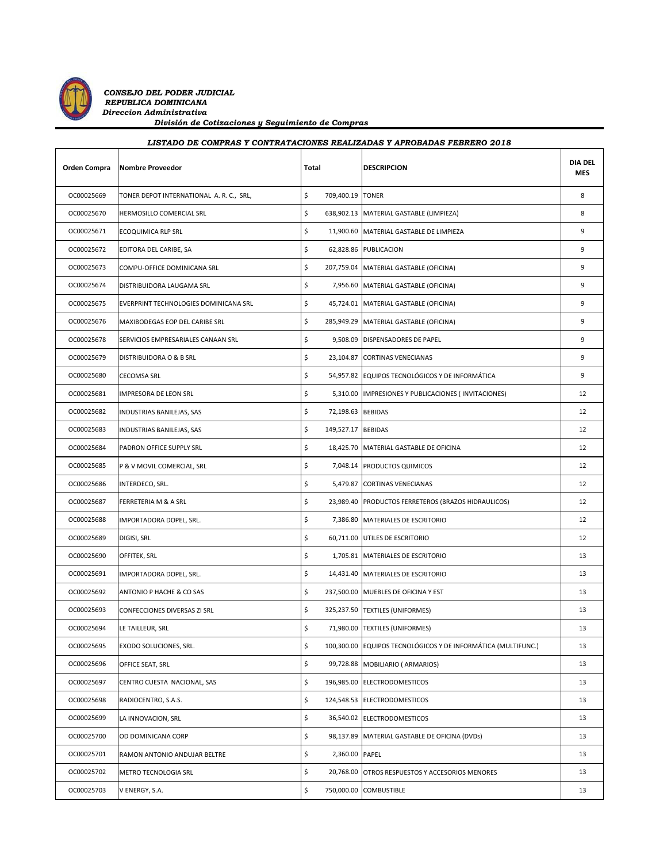

 *CONSEJO DEL PODER JUDICIAL REPUBLICA DOMINICANA Direccion Administrativa División de Cotizaciones y Seguimiento de Compras*

| Orden Compra | Nombre Proveedor                         | Total |                    | <b>DESCRIPCION</b>                                            | <b>DIA DEL</b><br><b>MES</b> |
|--------------|------------------------------------------|-------|--------------------|---------------------------------------------------------------|------------------------------|
| OC00025669   | TONER DEPOT INTERNATIONAL A. R. C., SRL, | \$    | 709,400.19 TONER   |                                                               | 8                            |
| OC00025670   | HERMOSILLO COMERCIAL SRL                 | \$    |                    | 638,902.13 MATERIAL GASTABLE (LIMPIEZA)                       | 8                            |
| OC00025671   | <b>ECOQUIMICA RLP SRL</b>                | \$    |                    | 11,900.60   MATERIAL GASTABLE DE LIMPIEZA                     | 9                            |
| OC00025672   | EDITORA DEL CARIBE, SA                   | \$    |                    | 62,828.86 PUBLICACION                                         | 9                            |
| OC00025673   | COMPU-OFFICE DOMINICANA SRL              | \$    |                    | 207,759.04 MATERIAL GASTABLE (OFICINA)                        | 9                            |
| OC00025674   | DISTRIBUIDORA LAUGAMA SRL                | \$    |                    | 7,956.60 MATERIAL GASTABLE (OFICINA)                          | 9                            |
| OC00025675   | EVERPRINT TECHNOLOGIES DOMINICANA SRL    | \$    |                    | 45,724.01   MATERIAL GASTABLE (OFICINA)                       | 9                            |
| OC00025676   | MAXIBODEGAS EOP DEL CARIBE SRL           | \$    |                    | 285,949.29 MATERIAL GASTABLE (OFICINA)                        | 9                            |
| OC00025678   | SERVICIOS EMPRESARIALES CANAAN SRL       | \$    |                    | 9,508.09 DISPENSADORES DE PAPEL                               | 9                            |
| OC00025679   | DISTRIBUIDORA O & B SRL                  | \$    |                    | 23,104.87 CORTINAS VENECIANAS                                 | 9                            |
| OC00025680   | <b>CECOMSA SRL</b>                       | \$    |                    | 54,957.82 EQUIPOS TECNOLÓGICOS Y DE INFORMÁTICA               | 9                            |
| OC00025681   | IMPRESORA DE LEON SRL                    | \$    |                    | 5,310.00  IMPRESIONES Y PUBLICACIONES (INVITACIONES)          | 12                           |
| OC00025682   | INDUSTRIAS BANILEJAS, SAS                | \$    | 72,198.63 BEBIDAS  |                                                               | 12                           |
| OC00025683   | INDUSTRIAS BANILEJAS, SAS                | \$    | 149,527.17 BEBIDAS |                                                               | 12                           |
| OC00025684   | PADRON OFFICE SUPPLY SRL                 | \$    |                    | 18,425.70 MATERIAL GASTABLE DE OFICINA                        | 12                           |
| OC00025685   | P & V MOVIL COMERCIAL, SRL               | \$    |                    | 7,048.14 PRODUCTOS QUIMICOS                                   | 12                           |
| OC00025686   | INTERDECO, SRL.                          | \$    |                    | 5,479.87 CORTINAS VENECIANAS                                  | 12                           |
| OC00025687   | FERRETERIA M & A SRL                     | \$    |                    | 23,989.40 PRODUCTOS FERRETEROS (BRAZOS HIDRAULICOS)           | 12                           |
| OC00025688   | IMPORTADORA DOPEL, SRL.                  | \$    |                    | 7,386.80 MATERIALES DE ESCRITORIO                             | 12                           |
| OC00025689   | DIGISI, SRL                              | \$    |                    | 60,711.00 UTILES DE ESCRITORIO                                | 12                           |
| OC00025690   | OFFITEK, SRL                             | \$    |                    | 1,705.81   MATERIALES DE ESCRITORIO                           | 13                           |
| OC00025691   | IMPORTADORA DOPEL, SRL.                  | \$    |                    | 14,431.40 MATERIALES DE ESCRITORIO                            | 13                           |
| OC00025692   | ANTONIO P HACHE & CO SAS                 | \$    |                    | 237,500.00 MUEBLES DE OFICINA Y EST                           | 13                           |
| OC00025693   | CONFECCIONES DIVERSAS ZI SRL             | \$    |                    | 325,237.50 TEXTILES (UNIFORMES)                               | 13                           |
| OC00025694   | LE TAILLEUR, SRL                         | \$    |                    | 71,980.00 TEXTILES (UNIFORMES)                                | 13                           |
| OC00025695   | EXODO SOLUCIONES, SRL.                   | \$    |                    | 100,300.00 EQUIPOS TECNOLÓGICOS Y DE INFORMÁTICA (MULTIFUNC.) | 13                           |
| OC00025696   | OFFICE SEAT, SRL                         | \$    |                    | 99,728.88 MOBILIARIO (ARMARIOS)                               | 13                           |
| OC00025697   | CENTRO CUESTA NACIONAL, SAS              | \$    |                    | 196,985.00 ELECTRODOMESTICOS                                  | 13                           |
| OC00025698   | RADIOCENTRO, S.A.S.                      | \$    |                    | 124,548.53 ELECTRODOMESTICOS                                  | 13                           |
| OC00025699   | LA INNOVACION, SRL                       | \$    |                    | 36,540.02 ELECTRODOMESTICOS                                   | 13                           |
| OC00025700   | OD DOMINICANA CORP                       | \$    |                    | 98,137.89 MATERIAL GASTABLE DE OFICINA (DVDs)                 | 13                           |
| OC00025701   | RAMON ANTONIO ANDUJAR BELTRE             | \$    | 2,360.00 PAPEL     |                                                               | 13                           |
| OC00025702   | METRO TECNOLOGIA SRL                     | \$    |                    | 20,768.00 OTROS RESPUESTOS Y ACCESORIOS MENORES               | 13                           |
| OC00025703   | V ENERGY, S.A.                           | \$    |                    | 750,000.00 COMBUSTIBLE                                        | 13                           |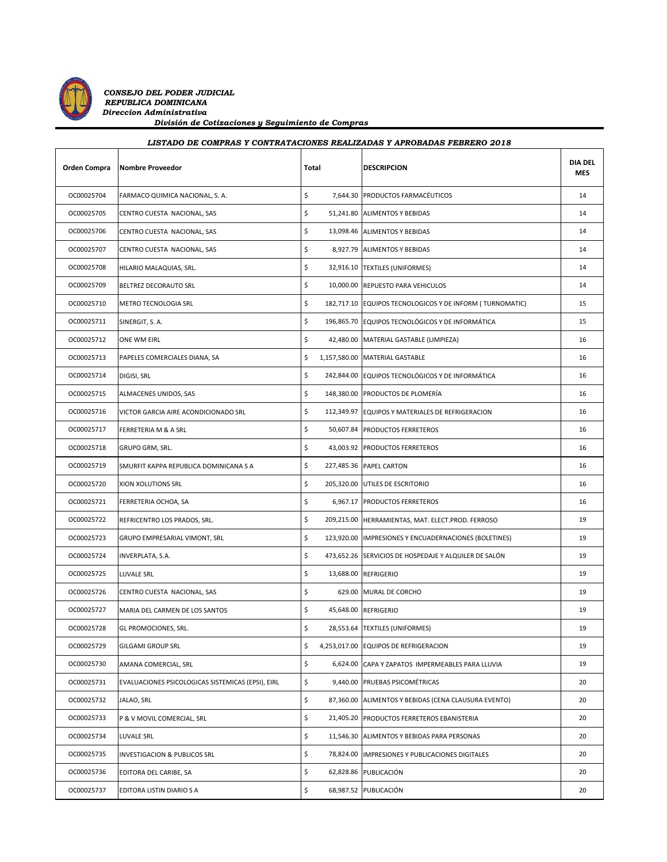

*CONSEJO DEL PODER JUDICIAL REPUBLICA DOMINICANA Direccion Administrativa División de Cotizaciones y Seguimiento de Compras*

| Orden Compra | <b>Nombre Proveedor</b>                           | Total |  | <b>DESCRIPCION</b>                                       | <b>DIA DEL</b><br><b>MES</b> |
|--------------|---------------------------------------------------|-------|--|----------------------------------------------------------|------------------------------|
| OC00025704   | FARMACO QUIMICA NACIONAL, S. A.                   | \$    |  | 7,644.30 PRODUCTOS FARMACÉUTICOS                         | 14                           |
| OC00025705   | CENTRO CUESTA NACIONAL, SAS                       | \$    |  | 51,241.80 ALIMENTOS Y BEBIDAS                            | 14                           |
| OC00025706   | CENTRO CUESTA NACIONAL, SAS                       | \$    |  | 13,098.46 ALIMENTOS Y BEBIDAS                            | 14                           |
| OC00025707   | CENTRO CUESTA NACIONAL, SAS                       | \$    |  | 8,927.79 ALIMENTOS Y BEBIDAS                             | 14                           |
| OC00025708   | HILARIO MALAQUIAS, SRL.                           | \$    |  | 32,916.10 TEXTILES (UNIFORMES)                           | 14                           |
| OC00025709   | <b>BELTREZ DECORAUTO SRL</b>                      | \$    |  | 10,000.00 REPUESTO PARA VEHICULOS                        | 14                           |
| OC00025710   | METRO TECNOLOGIA SRL                              | \$    |  | 182,717.10 EQUIPOS TECNOLOGICOS Y DE INFORM (TURNOMATIC) | 15                           |
| OC00025711   | SINERGIT, S.A.                                    | \$    |  | 196,865.70 EQUIPOS TECNOLÓGICOS Y DE INFORMÁTICA         | 15                           |
| OC00025712   | ONE WM EIRL                                       | \$    |  | 42,480.00 MATERIAL GASTABLE (LIMPIEZA)                   | 16                           |
| OC00025713   | PAPELES COMERCIALES DIANA, SA                     | \$    |  | 1,157,580.00 MATERIAL GASTABLE                           | 16                           |
| OC00025714   | DIGISI, SRL                                       | \$    |  | 242,844.00 EQUIPOS TECNOLÓGICOS Y DE INFORMÁTICA         | 16                           |
| OC00025715   | ALMACENES UNIDOS, SAS                             | \$    |  | 148,380.00 PRODUCTOS DE PLOMERÍA                         | 16                           |
| OC00025716   | VICTOR GARCIA AIRE ACONDICIONADO SRL              | \$    |  | 112,349.97 EQUIPOS Y MATERIALES DE REFRIGERACION         | 16                           |
| OC00025717   | <b>FERRETERIA M &amp; A SRL</b>                   | \$    |  | 50,607.84 PRODUCTOS FERRETEROS                           | 16                           |
| OC00025718   | GRUPO GRM, SRL.                                   | \$    |  | 43,003.92 PRODUCTOS FERRETEROS                           | 16                           |
| OC00025719   | SMURFIT KAPPA REPUBLICA DOMINICANA S A            | \$    |  | 227,485.36 PAPEL CARTON                                  | 16                           |
| OC00025720   | XION XOLUTIONS SRL                                | \$    |  | 205,320.00 UTILES DE ESCRITORIO                          | 16                           |
| OC00025721   | FERRETERIA OCHOA, SA                              | \$    |  | 6,967.17 PRODUCTOS FERRETEROS                            | 16                           |
| OC00025722   | REFRICENTRO LOS PRADOS, SRL.                      | \$    |  | 209,215.00 HERRAMIENTAS, MAT. ELECT.PROD. FERROSO        | 19                           |
| OC00025723   | GRUPO EMPRESARIAL VIMONT, SRL                     | \$    |  | 123,920.00  IMPRESIONES Y ENCUADERNACIONES (BOLETINES)   | 19                           |
| OC00025724   | INVERPLATA, S.A.                                  | \$    |  | 473,652.26 SERVICIOS DE HOSPEDAJE Y ALQUILER DE SALÓN    | 19                           |
| OC00025725   | <b>LUVALE SRL</b>                                 | \$    |  | 13,688.00 REFRIGERIO                                     | 19                           |
| OC00025726   | CENTRO CUESTA NACIONAL, SAS                       | \$    |  | 629.00 MURAL DE CORCHO                                   | 19                           |
| OC00025727   | MARIA DEL CARMEN DE LOS SANTOS                    | \$    |  | 45,648.00 REFRIGERIO                                     | 19                           |
| OC00025728   | GL PROMOCIONES, SRL.                              | \$    |  | 28,553.64 TEXTILES (UNIFORMES)                           | 19                           |
| OC00025729   | <b>GILGAMI GROUP SRL</b>                          | \$    |  | 4,253,017.00 EQUIPOS DE REFRIGERACION                    | 19                           |
| OC00025730   | AMANA COMERCIAL, SRL                              | \$    |  | 6,624.00 CAPA Y ZAPATOS IMPERMEABLES PARA LLUVIA         | 19                           |
| OC00025731   | EVALUACIONES PSICOLOGICAS SISTEMICAS (EPSI), EIRL | \$    |  | 9,440.00 PRUEBAS PSICOMÉTRICAS                           | 20                           |
| OC00025732   | JALAO, SRL                                        | \$    |  | 87,360.00 ALIMENTOS Y BEBIDAS (CENA CLAUSURA EVENTO)     | 20                           |
| OC00025733   | P & V MOVIL COMERCIAL, SRL                        | \$    |  | 21,405.20 PRODUCTOS FERRETEROS EBANISTERIA               | 20                           |
| OC00025734   | LUVALE SRL                                        | \$    |  | 11,546.30 ALIMENTOS Y BEBIDAS PARA PERSONAS              | 20                           |
| OC00025735   | INVESTIGACION & PUBLICOS SRL                      | \$    |  | 78,824.00 IMPRESIONES Y PUBLICACIONES DIGITALES          | 20                           |
| OC00025736   | EDITORA DEL CARIBE, SA                            | \$    |  | 62,828.86 PUBLICACIÓN                                    | 20                           |
| OC00025737   | EDITORA LISTIN DIARIO S A                         | \$    |  | 68,987.52 PUBLICACIÓN                                    | 20                           |